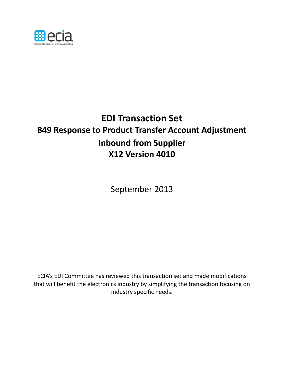

# **EDI Transaction Set 849 Response to Product Transfer Account Adjustment Inbound from Supplier X12 Version 4010**

September 2013

ECIA's EDI Committee has reviewed this transaction set and made modifications that will benefit the electronics industry by simplifying the transaction focusing on industry specific needs.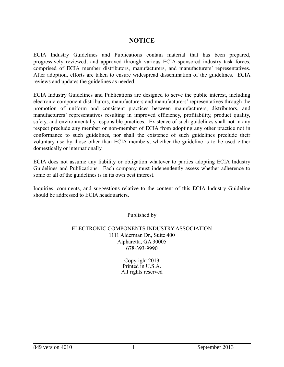## NOTICE

ECIA Industry Guidelines and Publications contain material that has been prepared, progressively reviewed, and approved through various ECIA-sponsored industry task forces, comprised of ECIA member distributors, manufacturers, and manufacturers' representatives. After adoption, efforts are taken to ensure widespread dissemination of the guidelines. ECIA reviews and updates the guidelines as needed.

ECIA Industry Guidelines and Publications are designed to serve the public interest, including electronic component distributors, manufacturers and manufacturers' representatives through the promotion of uniform and consistent practices between manufacturers, distributors, and manufacturers' representatives resulting in improved efficiency, profitability, product quality, safety, and environmentally responsible practices. Existence of such guidelines shall not in any respect preclude any member or non-member of ECIA from adopting any other practice not in conformance to such guidelines, nor shall the existence of such guidelines preclude their voluntary use by those other than ECIA members, whether the guideline is to be used either domestically or internationally.

ECIA does not assume any liability or obligation whatever to parties adopting ECIA Industry Guidelines and Publications. Each company must independently assess whether adherence to some or all of the guidelines is in its own best interest.

Inquiries, comments, and suggestions relative to the content of this ECIA Industry Guideline should be addressed to ECIA headquarters.

Published by

## ELECTRONIC COMPONENTS INDUSTRY ASSOCIATION 1111 Alderman Dr., Suite 400 Alpharetta, GA 30005 678-393-9990

Copyright 2013 Printed in U.S.A. All rights reserved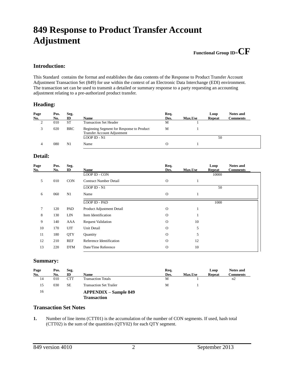## **849 Response to Product Transfer Account Adjustment**

## **Functional Group ID=CF**

## **Introduction:**

This Standard contains the format and establishes the data contents of the Response to Product Transfer Account Adjustment Transaction Set (849) for use within the context of an Electronic Data Interchange (EDI) environment. The transaction set can be used to transmit a detailed or summary response to a party requesting an accounting adjustment relating to a pre-authorized product transfer.

## **Heading:**

| Page<br>No. | Pos.<br>No. | Seg.<br>ID | <b>Name</b>                                                                     | Req.<br>Des. | <b>Max.Use</b> | Loop<br><b>Repeat</b> | <b>Notes and</b><br><b>Comments</b> |
|-------------|-------------|------------|---------------------------------------------------------------------------------|--------------|----------------|-----------------------|-------------------------------------|
|             | 010         | <b>ST</b>  | <b>Transaction Set Header</b>                                                   | M            |                |                       |                                     |
|             | 020         | <b>BRC</b> | Beginning Segment for Response to Product<br><b>Transfer Account Adjustment</b> | М            |                |                       |                                     |
|             |             |            | $LOOP$ ID - N1                                                                  |              |                | 50                    |                                     |
| 4           | 080         | N1         | Name                                                                            | О            |                |                       |                                     |

## **Detail:**

| Page<br><u>No.</u> | Pos.<br>No. | Seg.<br>ID | Name                          | Req.<br>Des. | Max.Use | Loop<br><b>Repeat</b> | <b>Notes and</b><br><b>Comments</b> |
|--------------------|-------------|------------|-------------------------------|--------------|---------|-----------------------|-------------------------------------|
|                    |             |            | LOOP ID - CON                 |              |         | 10000                 |                                     |
| 5                  | 010         | <b>CON</b> | <b>Contract Number Detail</b> | $\mathbf{O}$ |         |                       |                                     |
|                    |             |            | LOOP ID - N1                  |              |         | 50                    |                                     |
| 6                  | 060         | N1         | Name                          | $\mathbf{O}$ |         |                       |                                     |
|                    |             |            | LOOP ID - PAD                 |              |         | 1000                  |                                     |
| 7                  | 120         | PAD        | Product Adjustment Detail     | $\Omega$     |         |                       |                                     |
| 8                  | 130         | <b>LIN</b> | Item Identification           | $\Omega$     |         |                       |                                     |
| 9                  | 140         | AAA        | <b>Request Validation</b>     | $\Omega$     | 10      |                       |                                     |
| 10                 | 170         | <b>UIT</b> | Unit Detail                   | $\Omega$     | 5       |                       |                                     |
| 11                 | 180         | <b>QTY</b> | Quantity                      | $\Omega$     | 5       |                       |                                     |
| 12                 | 210         | <b>REF</b> | Reference Identification      | $\Omega$     | 12      |                       |                                     |
| 13                 | 220         | <b>DTM</b> | Date/Time Reference           | $\Omega$     | 10      |                       |                                     |

## **Summary:**

| Page | Pos. | Seg.       |                                | Req. |                | Loop          | Notes and |
|------|------|------------|--------------------------------|------|----------------|---------------|-----------|
| No.  | No.  | ID         | <b>Name</b>                    | Des. | <b>Max.Use</b> | <b>Repeat</b> | Comments  |
| 14   | 010  | <b>CTT</b> | <b>Transaction Totals</b>      | М    |                |               | n2        |
| 15   | 030  | SE         | <b>Transaction Set Trailer</b> | M    |                |               |           |
| 16   |      |            | <b>APPENDIX – Sample 849</b>   |      |                |               |           |
|      |      |            | Transaction                    |      |                |               |           |

#### **Transaction Set Notes**

**1.** Number of line items (CTT01) is the accumulation of the number of CON segments. If used, hash total (CTT02) is the sum of the quantities (QTY02) for each QTY segment.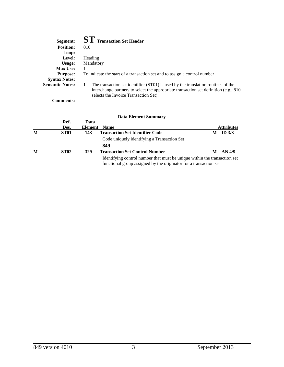| Segment:               | <b>ST</b> Transaction Set Header                                                                                                                                                                                        |
|------------------------|-------------------------------------------------------------------------------------------------------------------------------------------------------------------------------------------------------------------------|
| <b>Position:</b>       | 010                                                                                                                                                                                                                     |
| Loop:                  |                                                                                                                                                                                                                         |
| Level:                 | Heading                                                                                                                                                                                                                 |
| Usage:                 | Mandatory                                                                                                                                                                                                               |
| <b>Max Use:</b>        |                                                                                                                                                                                                                         |
| <b>Purpose:</b>        | To indicate the start of a transaction set and to assign a control number                                                                                                                                               |
| <b>Syntax Notes:</b>   |                                                                                                                                                                                                                         |
| <b>Semantic Notes:</b> | The transaction set identifier (ST01) is used by the translation routines of the<br>1<br>interchange partners to select the appropriate transaction set definition (e.g., 810)<br>selects the Invoice Transaction Set). |

**Comments:**

|   |             |         | <b>Data Element Summary</b>                                                                                                                    |   |                   |
|---|-------------|---------|------------------------------------------------------------------------------------------------------------------------------------------------|---|-------------------|
|   | Ref.        | Data    |                                                                                                                                                |   |                   |
|   | Des.        | Element | <b>Name</b>                                                                                                                                    |   | <b>Attributes</b> |
| M | <b>ST01</b> | 143     | <b>Transaction Set Identifier Code</b>                                                                                                         | М | ID $3/3$          |
|   |             |         | Code uniquely identifying a Transaction Set                                                                                                    |   |                   |
|   |             |         | 849                                                                                                                                            |   |                   |
| М | <b>ST02</b> | 329     | <b>Transaction Set Control Number</b>                                                                                                          | M | AN 4/9            |
|   |             |         | Identifying control number that must be unique within the transaction set<br>functional group assigned by the originator for a transaction set |   |                   |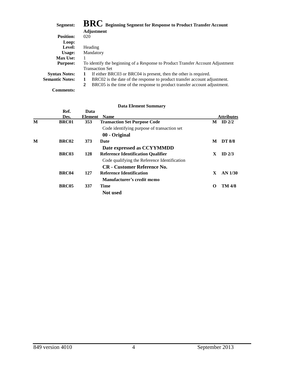| Segment:               | BRC Beginning Segment for Response to Product Transfer Account                            |
|------------------------|-------------------------------------------------------------------------------------------|
|                        | <b>Adjustment</b>                                                                         |
| <b>Position:</b>       | 020                                                                                       |
| Loop:                  |                                                                                           |
| Level:                 | Heading                                                                                   |
| Usage:                 | Mandatory                                                                                 |
| <b>Max Use:</b>        |                                                                                           |
| <b>Purpose:</b>        | To identify the beginning of a Response to Product Transfer Account Adjustment            |
|                        | <b>Transaction Set</b>                                                                    |
| <b>Syntax Notes:</b>   | If either BRC03 or BRC04 is present, then the other is required.<br>1                     |
| <b>Semantic Notes:</b> | BRC02 is the date of the response to product transfer account adjustment.<br>1            |
|                        | BRC05 is the time of the response to product transfer account adjustment.<br>$\mathbf{2}$ |
| <b>Comments:</b>       |                                                                                           |

|   | Ref.<br>Des.      | Data<br>Element | <b>Name</b>                                  |   | <b>Attributes</b> |
|---|-------------------|-----------------|----------------------------------------------|---|-------------------|
| M | <b>BRC01</b>      | 353             | <b>Transaction Set Purpose Code</b>          | M | ID $2/2$          |
|   |                   |                 | Code identifying purpose of transaction set  |   |                   |
|   |                   |                 | 00 - Original                                |   |                   |
| M | BRC <sub>02</sub> | 373             | Date                                         | M | <b>DT 8/8</b>     |
|   |                   |                 | Date expressed as CCYYMMDD                   |   |                   |
|   | <b>BRC03</b>      | 128             | <b>Reference Identification Qualifier</b>    | X | ID $2/3$          |
|   |                   |                 | Code qualifying the Reference Identification |   |                   |
|   |                   |                 | <b>CR</b> - Customer Reference No.           |   |                   |
|   | BRC04             | 127             | <b>Reference Identification</b>              | X | AN 1/30           |
|   |                   |                 | Manufacturer's credit memo                   |   |                   |
|   | BRC05             | 337             | Time                                         | O | <b>TM 4/8</b>     |
|   |                   |                 | <b>Not</b> used                              |   |                   |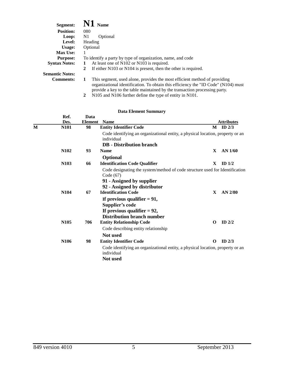| Segment:               | $\bf{N1}$ Name                                                                                                                                                                                                                                     |
|------------------------|----------------------------------------------------------------------------------------------------------------------------------------------------------------------------------------------------------------------------------------------------|
| <b>Position:</b>       | 080                                                                                                                                                                                                                                                |
| Loop:                  | N1<br>Optional                                                                                                                                                                                                                                     |
| Level:                 | Heading                                                                                                                                                                                                                                            |
| Usage:                 | Optional                                                                                                                                                                                                                                           |
| <b>Max Use:</b>        |                                                                                                                                                                                                                                                    |
| <b>Purpose:</b>        | To identify a party by type of organization, name, and code                                                                                                                                                                                        |
| <b>Syntax Notes:</b>   | At least one of N102 or N103 is required.                                                                                                                                                                                                          |
|                        | If either $N103$ or $N104$ is present, then the other is required.<br>2                                                                                                                                                                            |
| <b>Semantic Notes:</b> |                                                                                                                                                                                                                                                    |
| <b>Comments:</b>       | This segment, used alone, provides the most efficient method of providing<br>1<br>organizational identification. To obtain this efficiency the "ID Code" (N104) must<br>provide a key to the table maintained by the transaction processing party. |

|  |  | 2 N105 and N106 further define the type of entity in N101. |  |  |
|--|--|------------------------------------------------------------|--|--|
|  |  |                                                            |  |  |

|   | Ref.<br>Des.     | Data<br><b>Element</b> | <b>Name</b>                                                                                                                                                                                                                                                                                                        |              | <b>Attributes</b> |
|---|------------------|------------------------|--------------------------------------------------------------------------------------------------------------------------------------------------------------------------------------------------------------------------------------------------------------------------------------------------------------------|--------------|-------------------|
| M | N101             | 98                     | <b>Entity Identifier Code</b>                                                                                                                                                                                                                                                                                      | M            | ID $2/3$          |
|   |                  |                        | Code identifying an organizational entity, a physical location, property or an<br>individual<br><b>DB</b> - Distribution branch                                                                                                                                                                                    |              |                   |
|   | N <sub>102</sub> | 93                     | <b>Name</b>                                                                                                                                                                                                                                                                                                        | $\mathbf{X}$ | AN 1/60           |
|   |                  |                        | <b>Optional</b>                                                                                                                                                                                                                                                                                                    |              |                   |
|   | N <sub>103</sub> | 66                     | <b>Identification Code Qualifier</b>                                                                                                                                                                                                                                                                               | X            | ID $1/2$          |
|   | N <sub>104</sub> | 67                     | Code designating the system/method of code structure used for Identification<br>Code $(67)$<br>91 - Assigned by supplier<br>92 - Assigned by distributor<br><b>Identification Code</b><br>If previous qualifier $= 91$ ,<br>Supplier's code<br>If previous qualifier $= 92$ ,<br><b>Distribution branch number</b> | X            | AN 2/80           |
|   | N <sub>105</sub> | 706                    | <b>Entity Relationship Code</b>                                                                                                                                                                                                                                                                                    | $\Omega$     | ID $2/2$          |
|   |                  |                        | Code describing entity relationship<br>Not used                                                                                                                                                                                                                                                                    |              |                   |
|   | N <sub>106</sub> | 98                     | <b>Entity Identifier Code</b>                                                                                                                                                                                                                                                                                      | O            | ID $2/3$          |
|   |                  |                        | Code identifying an organizational entity, a physical location, property or an<br>individual<br>Not used                                                                                                                                                                                                           |              |                   |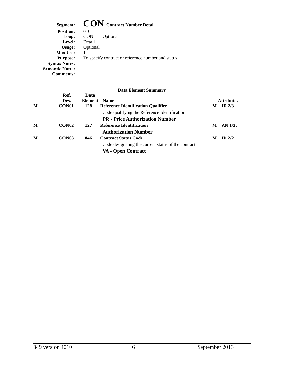Segment: **CON** Contract Number Detail<br>Position: 010 **Position: Loop:** CON Optional **Level:** Detail **Usage:** Optional **Max Use:** 1 **Purpose:** To specify contract or reference number and status **Syntax Notes: Semantic Notes: Comments:**

|                   |      | $\boldsymbol{\nu}$ utu Enchicht $\omega$ unninus $\boldsymbol{\mu}$ |                |                   |
|-------------------|------|---------------------------------------------------------------------|----------------|-------------------|
| Ref.              | Data |                                                                     |                |                   |
| Des.              |      | <b>Name</b>                                                         |                | <b>Attributes</b> |
| CON <sub>01</sub> | 128  | <b>Reference Identification Qualifier</b>                           | M              | ID $2/3$          |
|                   |      | Code qualifying the Reference Identification                        |                |                   |
|                   |      | <b>PR</b> - Price Authorization Number                              |                |                   |
| CON <sub>02</sub> | 127  | <b>Reference Identification</b>                                     | M              | AN 1/30           |
|                   |      | <b>Authorization Number</b>                                         |                |                   |
| CON <sub>03</sub> | 846  | <b>Contract Status Code</b>                                         | М              | $ID$ 2/2          |
|                   |      | Code designating the current status of the contract                 |                |                   |
|                   |      | VA - Open Contract                                                  |                |                   |
|                   |      |                                                                     | <b>Element</b> |                   |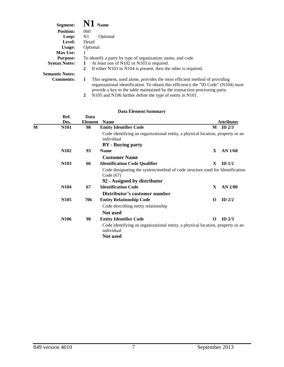| Segment:               | $\bf{N1}$ Name                                                                                                                                                                                                                                     |
|------------------------|----------------------------------------------------------------------------------------------------------------------------------------------------------------------------------------------------------------------------------------------------|
| <b>Position:</b>       | 060                                                                                                                                                                                                                                                |
| Loop:                  | N1<br>Optional                                                                                                                                                                                                                                     |
| Level:                 | Detail                                                                                                                                                                                                                                             |
| Usage:                 | Optional                                                                                                                                                                                                                                           |
| <b>Max Use:</b>        |                                                                                                                                                                                                                                                    |
| <b>Purpose:</b>        | To identify a party by type of organization, name, and code                                                                                                                                                                                        |
| <b>Syntax Notes:</b>   | At least one of N102 or N103 is required.                                                                                                                                                                                                          |
|                        | If either $N103$ or $N104$ is present, then the other is required.<br>2                                                                                                                                                                            |
| <b>Semantic Notes:</b> |                                                                                                                                                                                                                                                    |
| <b>Comments:</b>       | This segment, used alone, provides the most efficient method of providing<br>1<br>organizational identification. To obtain this efficiency the "ID Code" (N104) must<br>provide a key to the table maintained by the transaction processing party. |

|  | 2 N105 and N106 further define the type of entity in N101. |  |  |  |
|--|------------------------------------------------------------|--|--|--|
|  |                                                            |  |  |  |

|   | Ref.<br>Des.     | Data<br><b>Element</b> | <b>Name</b>                                                                                  |              | <b>Attributes</b> |
|---|------------------|------------------------|----------------------------------------------------------------------------------------------|--------------|-------------------|
| М | <b>N101</b>      | 98                     | <b>Entity Identifier Code</b>                                                                | M            | ID $2/3$          |
|   |                  |                        | Code identifying an organizational entity, a physical location, property or an<br>individual |              |                   |
|   |                  |                        | <b>BY</b> - Buying party                                                                     |              |                   |
|   | N <sub>102</sub> | 93                     | <b>Name</b>                                                                                  | X            | $AN$ 1/60         |
|   |                  |                        | <b>Customer Name</b>                                                                         |              |                   |
|   | N <sub>103</sub> | 66                     | <b>Identification Code Qualifier</b>                                                         | X            | ID $1/2$          |
|   |                  |                        | Code designating the system/method of code structure used for Identification<br>Code (67)    |              |                   |
|   |                  |                        | 92 - Assigned by distributor                                                                 |              |                   |
|   | N <sub>104</sub> | 67                     | <b>Identification Code</b>                                                                   | $\mathbf{X}$ | AN 2/80           |
|   |                  |                        | Distributor's customer number                                                                |              |                   |
|   | N <sub>105</sub> | 706                    | <b>Entity Relationship Code</b>                                                              | O            | ID $2/2$          |
|   |                  |                        | Code describing entity relationship                                                          |              |                   |
|   |                  |                        | Not used                                                                                     |              |                   |
|   | N <sub>106</sub> | 98                     | <b>Entity Identifier Code</b>                                                                | O            | ID $2/3$          |
|   |                  |                        | Code identifying an organizational entity, a physical location, property or an<br>individual |              |                   |
|   |                  |                        | Not used                                                                                     |              |                   |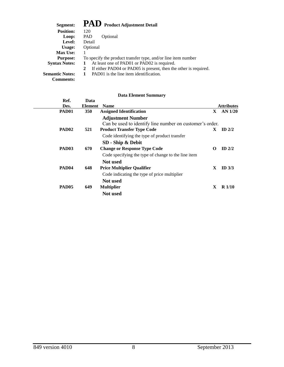| Segment:               | PAD Product Adjustment Detail                                         |
|------------------------|-----------------------------------------------------------------------|
| <b>Position:</b>       | 120                                                                   |
| Loop:                  | PAD<br>Optional                                                       |
| Level:                 | Detail                                                                |
| Usage:                 | Optional                                                              |
| <b>Max Use:</b>        |                                                                       |
| <b>Purpose:</b>        | To specify the product transfer type, and/or line item number         |
| <b>Syntax Notes:</b>   | At least one of PAD01 or PAD02 is required.                           |
|                        | If either PAD04 or PAD05 is present, then the other is required.<br>2 |
| <b>Semantic Notes:</b> | PAD01 is the line item identification.                                |
| <b>Comments:</b>       |                                                                       |

| Ref.<br>Des.      | Data<br><b>Element</b> | <b>Name</b>                                              | <b>Attributes</b> |
|-------------------|------------------------|----------------------------------------------------------|-------------------|
| PAD <sub>01</sub> | <b>350</b>             | <b>Assigned Identification</b><br>$\mathbf{X}$           | AN 1/20           |
|                   |                        | <b>Adjustment Number</b>                                 |                   |
|                   |                        | Can be used to identify line number on customer's order. |                   |
| PAD <sub>02</sub> | 521                    | <b>Product Transfer Type Code</b><br>X.                  | ID $2/2$          |
|                   |                        | Code identifying the type of product transfer            |                   |
|                   |                        | SD - Ship & Debit                                        |                   |
| PAD <sub>03</sub> | 670                    | <b>Change or Response Type Code</b><br>O                 | ID $2/2$          |
|                   |                        | Code specifying the type of change to the line item      |                   |
|                   |                        | Not used                                                 |                   |
| PAD <sub>04</sub> | 648                    | <b>Price Multiplier Qualifier</b><br>X                   | ID $3/3$          |
|                   |                        | Code indicating the type of price multiplier             |                   |
|                   |                        | <b>Not</b> used                                          |                   |
| PAD <sub>05</sub> | 649                    | X<br><b>Multiplier</b>                                   | $R\ 1/10$         |
|                   |                        | Not used                                                 |                   |
|                   |                        |                                                          |                   |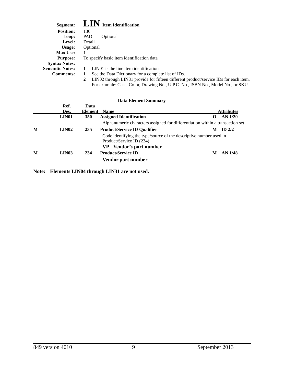| Segment:               | <b>LIN</b> Item Identification                                                                       |
|------------------------|------------------------------------------------------------------------------------------------------|
| <b>Position:</b>       | 130                                                                                                  |
| Loop:                  | PAD<br>Optional                                                                                      |
| Level:                 | Detail                                                                                               |
| Usage:                 | Optional                                                                                             |
| <b>Max Use:</b>        |                                                                                                      |
| <b>Purpose:</b>        | To specify basic item identification data                                                            |
| <b>Syntax Notes:</b>   |                                                                                                      |
| <b>Semantic Notes:</b> | LIN01 is the line item identification                                                                |
| <b>Comments:</b>       | See the Data Dictionary for a complete list of IDs.<br>1                                             |
|                        | LIN02 through LIN31 provide for fifteen different product/service IDs for each item.<br>$\mathbf{2}$ |
|                        | For example: Case, Color, Drawing No., U.P.C. No., ISBN No., Model No., or SKU.                      |

|   | Ref.<br>Des.       | Data<br>Element | <b>Name</b>                                                                                                                 |   | <b>Attributes</b> |
|---|--------------------|-----------------|-----------------------------------------------------------------------------------------------------------------------------|---|-------------------|
|   | LIN <sub>01</sub>  | <b>350</b>      | <b>Assigned Identification</b>                                                                                              | О | $AN$ 1/20         |
|   |                    |                 | Alphanumeric characters assigned for differentiation within a transaction set                                               |   |                   |
| M | LIN <sub>0</sub> 2 | 235             | <b>Product/Service ID Qualifier</b>                                                                                         | M | ID $2/2$          |
|   |                    |                 | Code identifying the type/source of the descriptive number used in<br>Product/Service ID (234)<br>VP - Vendor's part number |   |                   |
| M | LIN <sub>03</sub>  | 234             | <b>Product/Service ID</b>                                                                                                   | M | AN 1/48           |
|   |                    |                 | Vendor part number                                                                                                          |   |                   |

**Note: Elements LIN04 through LIN31 are not used.**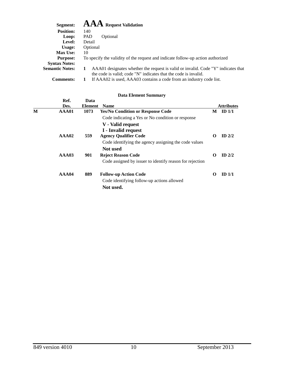| Segment:               | ${\bf AAA}$ Request Validation                                                                                                                       |
|------------------------|------------------------------------------------------------------------------------------------------------------------------------------------------|
| <b>Position:</b>       | 140                                                                                                                                                  |
| Loop:                  | PAD<br>Optional                                                                                                                                      |
| Level:                 | Detail                                                                                                                                               |
| Usage:                 | Optional                                                                                                                                             |
| <b>Max Use:</b>        | 10                                                                                                                                                   |
| <b>Purpose:</b>        | To specify the validity of the request and indicate follow-up action authorized                                                                      |
| <b>Syntax Notes:</b>   |                                                                                                                                                      |
| <b>Semantic Notes:</b> | AAA01 designates whether the request is valid or invalid. Code "Y" indicates that<br>the code is valid; code "N" indicates that the code is invalid. |
| <b>Comments:</b>       | If AAA02 is used, AAA03 contains a code from an industry code list.                                                                                  |

|   | Ref.  | Data    |                                                          |          |                   |
|---|-------|---------|----------------------------------------------------------|----------|-------------------|
|   | Des.  | Element | <b>Name</b>                                              |          | <b>Attributes</b> |
| M | AAA01 | 1073    | <b>Yes/No Condition or Response Code</b>                 | М        | ID <sub>1/1</sub> |
|   |       |         | Code indicating a Yes or No condition or response        |          |                   |
|   |       |         | V - Valid request                                        |          |                   |
|   |       |         | I - Invalid request                                      |          |                   |
|   | AA402 | 559     | <b>Agency Qualifier Code</b>                             | $\Omega$ | $ID$ 2/2          |
|   |       |         | Code identifying the agency assigning the code values    |          |                   |
|   |       |         | Not used                                                 |          |                   |
|   | AA403 | 901     | <b>Reject Reason Code</b>                                | $\Omega$ | $ID$ 2/2          |
|   |       |         | Code assigned by issuer to identify reason for rejection |          |                   |
|   | AAA04 | 889     | <b>Follow-up Action Code</b>                             | $\Omega$ | ID <sub>1/1</sub> |
|   |       |         | Code identifying follow-up actions allowed               |          |                   |
|   |       |         | Not used.                                                |          |                   |
|   |       |         |                                                          |          |                   |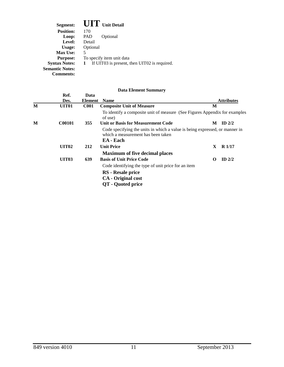| Segment:               | <b>UIT</b> Unit Detail                            |
|------------------------|---------------------------------------------------|
| <b>Position:</b>       | 170                                               |
| Loop:                  | Optional<br>PAD                                   |
| Level:                 | Detail                                            |
| Usage:                 | Optional                                          |
| <b>Max Use:</b>        | 5                                                 |
| <b>Purpose:</b>        | To specify item unit data                         |
| <b>Syntax Notes:</b>   | If UIT03 is present, then UIT02 is required.<br>1 |
| <b>Semantic Notes:</b> |                                                   |
| Comments:              |                                                   |

|   | Ref.              | Data        |                                                                                                                                |    |                   |
|---|-------------------|-------------|--------------------------------------------------------------------------------------------------------------------------------|----|-------------------|
|   | Des.              | Element     | <b>Name</b>                                                                                                                    |    | <b>Attributes</b> |
| M | UIT <sub>01</sub> | <b>C001</b> | <b>Composite Unit of Measure</b>                                                                                               | M  |                   |
|   |                   |             | To identify a composite unit of measure (See Figures Appendix for examples<br>of use)                                          |    |                   |
| M | <b>C00101</b>     | 355         | <b>Unit or Basis for Measurement Code</b>                                                                                      | М  | ID $2/2$          |
|   |                   |             | Code specifying the units in which a value is being expressed, or manner in<br>which a measurement has been taken<br>EA - Each |    |                   |
|   | UIT <sub>02</sub> | 212         | <b>Unit Price</b>                                                                                                              | X. | <b>R</b> 1/17     |
|   |                   |             | <b>Maximum of five decimal places</b>                                                                                          |    |                   |
|   | <b>UIT03</b>      | 639         | <b>Basis of Unit Price Code</b>                                                                                                | 0  | ID $2/2$          |
|   |                   |             | Code identifying the type of unit price for an item                                                                            |    |                   |
|   |                   |             | RS - Resale price                                                                                                              |    |                   |
|   |                   |             | <b>CA</b> - Original cost                                                                                                      |    |                   |
|   |                   |             | QT - Quoted price                                                                                                              |    |                   |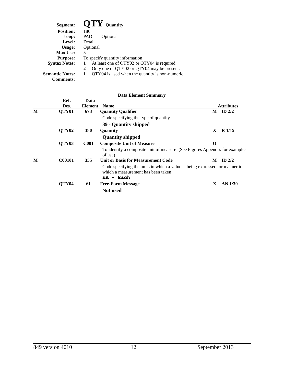| Segment:               | $\mathbf{O}$ TY Quantity                        |
|------------------------|-------------------------------------------------|
| <b>Position:</b>       | 180                                             |
| Loop:                  | PAD<br>Optional                                 |
| Level:                 | Detail                                          |
| Usage:                 | Optional                                        |
| <b>Max Use:</b>        | 5                                               |
| <b>Purpose:</b>        | To specify quantity information                 |
| <b>Syntax Notes:</b>   | At least one of QTY02 or QTY04 is required.     |
|                        | Only one of QTY02 or QTY04 may be present.<br>2 |
| <b>Semantic Notes:</b> | QTY04 is used when the quantity is non-numeric. |
| <b>Comments:</b>       |                                                 |

|   | Ref.              | Data        |                                                                                                                                  |          |                   |
|---|-------------------|-------------|----------------------------------------------------------------------------------------------------------------------------------|----------|-------------------|
|   | Des.              | Element     | <b>Name</b>                                                                                                                      |          | <b>Attributes</b> |
| M | QTY <sub>01</sub> | 673         | <b>Quantity Qualifier</b>                                                                                                        | М        | ID $2/2$          |
|   |                   |             | Code specifying the type of quantity                                                                                             |          |                   |
|   |                   |             | 39 - Quantity shipped                                                                                                            |          |                   |
|   | QTY <sub>02</sub> | <b>380</b>  | Quantity                                                                                                                         | X        | R1/15             |
|   |                   |             | <b>Quantity shipped</b>                                                                                                          |          |                   |
|   | QTY03             | <b>C001</b> | <b>Composite Unit of Measure</b>                                                                                                 | $\Omega$ |                   |
|   |                   |             | To identify a composite unit of measure (See Figures Appendix for examples<br>of use)                                            |          |                   |
| M | <b>C00101</b>     | 355         | <b>Unit or Basis for Measurement Code</b>                                                                                        | M        | $ID$ 2/2          |
|   |                   |             | Code specifying the units in which a value is being expressed, or manner in<br>which a measurement has been taken<br>$EA$ - Each |          |                   |
|   | QTY <sub>04</sub> | 61          | <b>Free-Form Message</b>                                                                                                         | X        | AN 1/30           |
|   |                   |             | Not used                                                                                                                         |          |                   |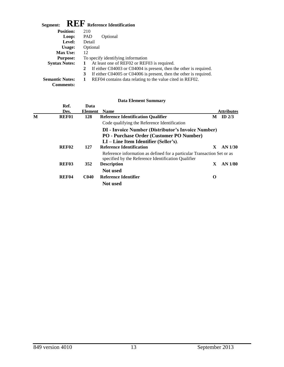| <b>REF</b> Reference Identification<br>Segment: |                                                                         |  |  |  |  |  |  |  |
|-------------------------------------------------|-------------------------------------------------------------------------|--|--|--|--|--|--|--|
| <b>Position:</b>                                | 210                                                                     |  |  |  |  |  |  |  |
| Loop:                                           | <b>PAD</b><br>Optional                                                  |  |  |  |  |  |  |  |
| Level:                                          | Detail                                                                  |  |  |  |  |  |  |  |
| Usage:                                          | Optional                                                                |  |  |  |  |  |  |  |
| <b>Max Use:</b>                                 | 12                                                                      |  |  |  |  |  |  |  |
| <b>Purpose:</b>                                 | To specify identifying information                                      |  |  |  |  |  |  |  |
| <b>Syntax Notes:</b>                            | At least one of REF02 or REF03 is required.                             |  |  |  |  |  |  |  |
|                                                 | If either C04003 or C04004 is present, then the other is required.<br>2 |  |  |  |  |  |  |  |
|                                                 | If either C04005 or C04006 is present, then the other is required.<br>3 |  |  |  |  |  |  |  |
| <b>Semantic Notes:</b>                          | REF04 contains data relating to the value cited in REF02.<br>1          |  |  |  |  |  |  |  |
| <b>Comments:</b>                                |                                                                         |  |  |  |  |  |  |  |

|   |                   |             | <b>Data Element Summary</b>                                                                                                    |    |                   |
|---|-------------------|-------------|--------------------------------------------------------------------------------------------------------------------------------|----|-------------------|
|   | Ref.              | Data        |                                                                                                                                |    |                   |
|   | Des.              | Element     | <b>Name</b>                                                                                                                    |    | <b>Attributes</b> |
| М | REF01             | 128         | <b>Reference Identification Qualifier</b>                                                                                      |    | $M$ ID $2/3$      |
|   |                   |             | Code qualifying the Reference Identification                                                                                   |    |                   |
|   |                   |             | <b>DI</b> - Invoice Number (Distributor's Invoice Number)<br><b>PO</b> - Purchase Order (Customer PO Number)                   |    |                   |
|   |                   |             | $LI$ – Line Item Identifier (Seller's).                                                                                        |    |                   |
|   | REF <sub>02</sub> | 127         | <b>Reference Identification</b>                                                                                                | X. | AN 1/30           |
|   |                   |             | Reference information as defined for a particular Transaction Set or as<br>specified by the Reference Identification Qualifier |    |                   |
|   | REF <sub>03</sub> | 352         | <b>Description</b>                                                                                                             | X  | AN 1/80           |
|   |                   |             | Not used                                                                                                                       |    |                   |
|   | REF <sub>04</sub> | <b>C040</b> | Reference Identifier                                                                                                           | O  |                   |
|   |                   |             | <b>Not</b> used                                                                                                                |    |                   |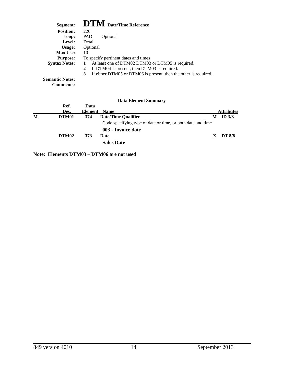| Segment:               | <b>DTM</b> Date/Time Reference                                        |
|------------------------|-----------------------------------------------------------------------|
| <b>Position:</b>       | 220                                                                   |
| Loop:                  | <b>PAD</b><br>Optional                                                |
| Level:                 | Detail                                                                |
| Usage:                 | Optional                                                              |
| <b>Max Use:</b>        | 10                                                                    |
| <b>Purpose:</b>        | To specify pertinent dates and times                                  |
| <b>Syntax Notes:</b>   | At least one of DTM02 DTM03 or DTM05 is required.<br>1                |
|                        | If DTM04 is present, then DTM03 is required.<br>2                     |
|                        | 3<br>If either DTM05 or DTM06 is present, then the other is required. |
| <b>Semantic Notes:</b> |                                                                       |
| <b>Comments:</b>       |                                                                       |

|   |                   |              | <b>Data Element Summary</b>                                 |    |                   |
|---|-------------------|--------------|-------------------------------------------------------------|----|-------------------|
|   | Ref.              | Data         |                                                             |    |                   |
|   | Des.              | Element Name |                                                             |    | <b>Attributes</b> |
| M | DTM01             | 374          | <b>Date/Time Qualifier</b>                                  | M  | ID $3/3$          |
|   |                   |              | Code specifying type of date or time, or both date and time |    |                   |
|   |                   |              | 003 - Invoice date                                          |    |                   |
|   | DTM <sub>02</sub> | 373          | Date                                                        | X. | <b>DT 8/8</b>     |
|   |                   |              | <b>Sales Date</b>                                           |    |                   |

**Note: Elements DTM03 – DTM06 are not used**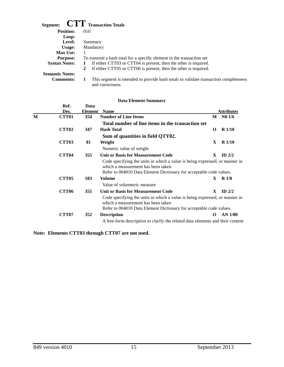| <b>CTT</b> Transaction Totals<br>Segment: |                                                                                                               |  |  |  |  |  |  |  |
|-------------------------------------------|---------------------------------------------------------------------------------------------------------------|--|--|--|--|--|--|--|
| <b>Position:</b>                          | 010                                                                                                           |  |  |  |  |  |  |  |
| Loop:                                     |                                                                                                               |  |  |  |  |  |  |  |
| Level:                                    | Summary                                                                                                       |  |  |  |  |  |  |  |
| Usage:                                    | Mandatory                                                                                                     |  |  |  |  |  |  |  |
| <b>Max Use:</b>                           |                                                                                                               |  |  |  |  |  |  |  |
| <b>Purpose:</b>                           | To transmit a hash total for a specific element in the transaction set                                        |  |  |  |  |  |  |  |
| <b>Syntax Notes:</b>                      | If either CTT03 or CTT04 is present, then the other is required.<br>1                                         |  |  |  |  |  |  |  |
|                                           | If either CTT05 or CTT06 is present, then the other is required.<br>2                                         |  |  |  |  |  |  |  |
| <b>Semantic Notes:</b>                    |                                                                                                               |  |  |  |  |  |  |  |
| <b>Comments:</b>                          | This segment is intended to provide hash totals to validate transaction completeness<br>1<br>and correctness. |  |  |  |  |  |  |  |

|   | Ref.<br>Des.      | Data<br><b>Element</b> | <b>Name</b>                                                                                                                                                                              |          | <b>Attributes</b> |
|---|-------------------|------------------------|------------------------------------------------------------------------------------------------------------------------------------------------------------------------------------------|----------|-------------------|
| M | CTT <sub>01</sub> | 354                    | <b>Number of Line Items</b>                                                                                                                                                              | M        | N01/6             |
|   |                   |                        | Total number of line items in the transaction set                                                                                                                                        |          |                   |
|   | CTT <sub>02</sub> | 347                    | <b>Hash Total</b>                                                                                                                                                                        | O        | R <sub>1/10</sub> |
|   |                   |                        | Sum of quantities in field QTY02.                                                                                                                                                        |          |                   |
|   | <b>CTT03</b>      | 81                     | Weight                                                                                                                                                                                   | X        | $R$ 1/10          |
|   |                   |                        | Numeric value of weight                                                                                                                                                                  |          |                   |
|   | <b>CTT04</b>      | 355                    | <b>Unit or Basis for Measurement Code</b>                                                                                                                                                | X        | ID $2/2$          |
|   |                   |                        | Code specifying the units in which a value is being expressed, or manner in<br>which a measurement has been taken<br>Refer to 004010 Data Element Dictionary for acceptable code values. |          |                   |
|   | <b>CTT05</b>      | 183                    | Volume                                                                                                                                                                                   | X        | R <sub>1/8</sub>  |
|   |                   |                        | Value of volumetric measure                                                                                                                                                              |          |                   |
|   | <b>CTT06</b>      | 355                    | <b>Unit or Basis for Measurement Code</b>                                                                                                                                                | X        | $ID$ 2/2          |
|   |                   |                        | Code specifying the units in which a value is being expressed, or manner in<br>which a measurement has been taken<br>Refer to 004010 Data Element Dictionary for acceptable code values. |          |                   |
|   | <b>CTT07</b>      | 352                    | <b>Description</b>                                                                                                                                                                       | $\Omega$ | <b>AN 1/80</b>    |
|   |                   |                        | A free-form description to clarify the related data elements and their content                                                                                                           |          |                   |

**Note: Elements CTT03 through CTT07 are not used.**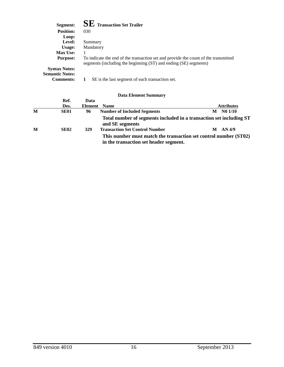| Segment:               | <b>SE</b> Transaction Set Trailer                                                                                                                       |
|------------------------|---------------------------------------------------------------------------------------------------------------------------------------------------------|
| <b>Position:</b>       | 030                                                                                                                                                     |
| Loop:                  |                                                                                                                                                         |
| Level:                 | Summary                                                                                                                                                 |
| Usage:                 | Mandatory                                                                                                                                               |
| <b>Max Use:</b>        |                                                                                                                                                         |
| <b>Purpose:</b>        | To indicate the end of the transaction set and provide the count of the transmitted<br>segments (including the beginning (ST) and ending (SE) segments) |
| <b>Syntax Notes:</b>   |                                                                                                                                                         |
| <b>Semantic Notes:</b> |                                                                                                                                                         |
| <b>Comments:</b>       | SE is the last segment of each transaction set.                                                                                                         |

|   | Ref.             | Data                |                                                                                                            |   |                   |
|---|------------------|---------------------|------------------------------------------------------------------------------------------------------------|---|-------------------|
|   | Des.             | <b>Element</b> Name |                                                                                                            |   | <b>Attributes</b> |
| M | SE01             | 96                  | <b>Number of Included Segments</b>                                                                         | M | N01/10            |
|   |                  |                     | Total number of segments included in a transaction set including ST<br>and SE segments                     |   |                   |
| M | SE <sub>02</sub> | 329                 | <b>Transaction Set Control Number</b>                                                                      | M | AN 4/9            |
|   |                  |                     | This number must match the transaction set control number (ST02)<br>in the transaction set header segment. |   |                   |